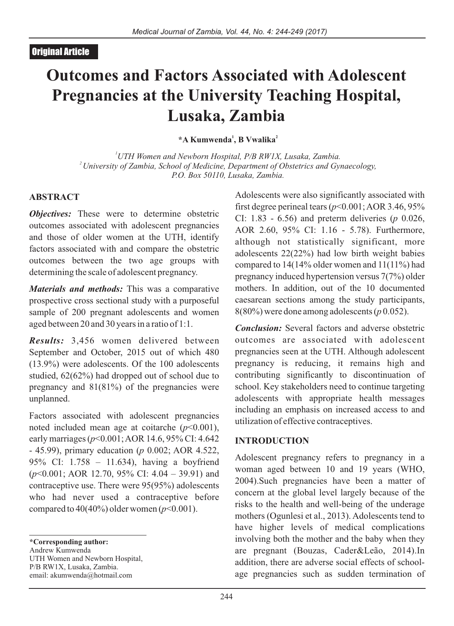# **Outcomes and Factors Associated with Adolescent Pregnancies at the University Teaching Hospital, Lusaka, Zambia**

**1 2 \*A Kumwenda , B Vwalika**

*<sup>1</sup>UTH Women and Newborn Hospital, P/B RW1X, Lusaka, Zambia. <sup>2</sup>University of Zambia, School of Medicine, Department of Obstetrics and Gynaecology, P.O. Box 50110, Lusaka, Zambia.*

## **ABSTRACT**

*Objectives:* These were to determine obstetric outcomes associated with adolescent pregnancies and those of older women at the UTH, identify factors associated with and compare the obstetric outcomes between the two age groups with determining the scale of adolescent pregnancy.

*Materials and methods:* This was a comparative prospective cross sectional study with a purposeful sample of 200 pregnant adolescents and women aged between 20 and 30 years in a ratio of 1:1.

*Results:* 3,456 women delivered between September and October, 2015 out of which 480 (13.9%) were adolescents. Of the 100 adolescents studied, 62(62%) had dropped out of school due to pregnancy and 81(81%) of the pregnancies were unplanned.

Factors associated with adolescent pregnancies noted included mean age at coitarche (*p*<0.001), early marriages (*p*<0.001; AOR 14.6, 95% CI: 4.642 - 45.99), primary education (*p* 0.002; AOR 4.522, 95% CI: 1.758 – 11.634), having a boyfriend (*p*<0.001; AOR 12.70, 95% CI: 4.04 – 39.91) and contraceptive use. There were 95(95%) adolescents who had never used a contraceptive before compared to  $40(40\%)$  older women ( $p<0.001$ ).

**\*Corresponding author:**  Andrew Kumwenda UTH Women and Newborn Hospital, P/B RW1X, Lusaka, Zambia. email: akumwenda@hotmail.com

Adolescents were also significantly associated with first degree perineal tears  $(p<0.001; AOR 3.46, 95\%$ CI: 1.83 - 6.56) and preterm deliveries (*p* 0.026, AOR 2.60, 95% CI: 1.16 - 5.78). Furthermore, although not statistically significant, more adolescents 22(22%) had low birth weight babies compared to 14(14% older women and 11(11%) had pregnancy induced hypertension versus 7(7%) older mothers. In addition, out of the 10 documented caesarean sections among the study participants, 8(80%) were done among adolescents (*p* 0.052).

*Conclusion:* Several factors and adverse obstetric outcomes are associated with adolescent pregnancies seen at the UTH. Although adolescent pregnancy is reducing, it remains high and contributing significantly to discontinuation of school. Key stakeholders need to continue targeting adolescents with appropriate health messages including an emphasis on increased access to and utilization of effective contraceptives.

## **INTRODUCTION**

Adolescent pregnancy refers to pregnancy in a woman aged between 10 and 19 years (WHO, 2004).Such pregnancies have been a matter of concern at the global level largely because of the risks to the health and well-being of the underage mothers (Ogunlesi et al., 2013). Adolescents tend to have higher levels of medical complications involving both the mother and the baby when they are pregnant (Bouzas, Cader&Leão, 2014).In addition, there are adverse social effects of schoolage pregnancies such as sudden termination of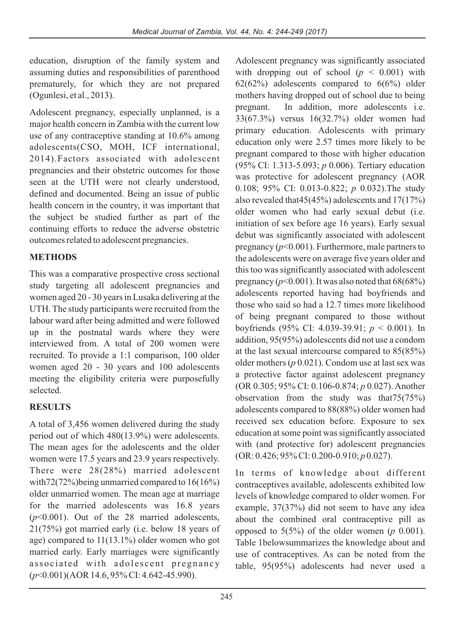education, disruption of the family system and assuming duties and responsibilities of parenthood prematurely, for which they are not prepared (Ogunlesi, et al., 2013).

Adolescent pregnancy, especially unplanned, is a major health concern in Zambia with the current low use of any contraceptive standing at 10.6% among adolescents(CSO, MOH, ICF international, 2014).Factors associated with adolescent pregnancies and their obstetric outcomes for those seen at the UTH were not clearly understood, defined and documented. Being an issue of public health concern in the country, it was important that the subject be studied further as part of the continuing efforts to reduce the adverse obstetric outcomes related to adolescent pregnancies.

# **METHODS**

This was a comparative prospective cross sectional study targeting all adolescent pregnancies and women aged 20 - 30 years in Lusaka delivering at the UTH. The study participants were recruited from the labour ward after being admitted and were followed up in the postnatal wards where they were interviewed from. A total of 200 women were recruited. To provide a 1:1 comparison, 100 older women aged 20 - 30 years and 100 adolescents meeting the eligibility criteria were purposefully selected.

# **RESULTS**

A total of 3,456 women delivered during the study period out of which 480(13.9%) were adolescents. The mean ages for the adolescents and the older women were 17.5 years and 23.9 years respectively. There were 28(28%) married adolescent with72(72%)being unmarried compared to  $16(16%)$ older unmarried women. The mean age at marriage for the married adolescents was 16.8 years (*p*<0.001). Out of the 28 married adolescents, 21(75%) got married early (i.e. below 18 years of age) compared to 11(13.1%) older women who got married early. Early marriages were significantly associated with adolescent pregnancy (*p*<0.001)(AOR 14.6, 95% CI: 4.642-45.990).

Adolescent pregnancy was significantly associated with dropping out of school  $(p < 0.001)$  with  $62(62%)$  adolescents compared to  $6(6%)$  older mothers having dropped out of school due to being pregnant. In addition, more adolescents i.e. 33(67.3%) versus 16(32.7%) older women had primary education. Adolescents with primary education only were 2.57 times more likely to be pregnant compared to those with higher education (95% CI: 1.313-5.093; *p* 0.006). Tertiary education was protective for adolescent pregnancy (AOR 0.108; 95% CI: 0.013-0.822; *p* 0.032).The study also revealed that45(45%) adolescents and 17(17%) older women who had early sexual debut (i.e. initiation of sex before age 16 years). Early sexual debut was significantly associated with adolescent pregnancy (*p*<0.001). Furthermore, male partners to the adolescents were on average five years older and this too was significantly associated with adolescent pregnancy ( $p<0.001$ ). It was also noted that  $68(68%)$ adolescents reported having had boyfriends and those who said so had a 12.7 times more likelihood of being pregnant compared to those without boyfriends (95% CI: 4.039-39.91; *p* < 0.001). In addition, 95(95%) adolescents did not use a condom at the last sexual intercourse compared to 85(85%) older mothers (*p* 0.021). Condom use at last sex was a protective factor against adolescent pregnancy (OR 0.305; 95% CI: 0.106-0.874; *p* 0.027). Another observation from the study was that75(75%) adolescents compared to 88(88%) older women had received sex education before. Exposure to sex education at some point was significantly associated with (and protective for) adolescent pregnancies (OR: 0.426; 95% CI: 0.200-0.910; *p* 0.027).

In terms of knowledge about different contraceptives available, adolescents exhibited low levels of knowledge compared to older women. For example, 37(37%) did not seem to have any idea about the combined oral contraceptive pill as opposed to 5(5%) of the older women (*p* 0.001). Table 1belowsummarizes the knowledge about and use of contraceptives. As can be noted from the table, 95(95%) adolescents had never used a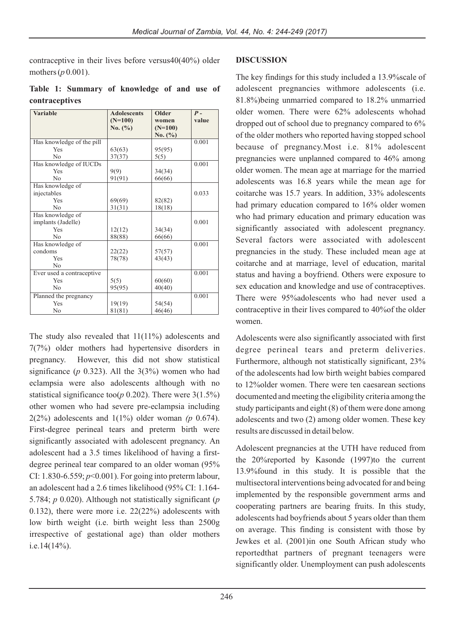contraceptive in their lives before versus40(40%) older mothers (*p* 0.001).

**Table 1: Summary of knowledge of and use of contraceptives**

| Variable                  | <b>Adolescents</b> | Older       | $P -$ |
|---------------------------|--------------------|-------------|-------|
|                           | $(N=100)$          | women       | value |
|                           | No. (%)            | $(N=100)$   |       |
|                           |                    | No. $(\% )$ |       |
| Has knowledge of the pill |                    |             | 0.001 |
| Yes                       | 63(63)             | 95(95)      |       |
| N <sub>0</sub>            | 37(37)             | 5(5)        |       |
| Has knowledge of IUCDs    |                    |             | 0.001 |
| Yes                       | 9(9)               | 34(34)      |       |
| No                        | 91(91)             | 66(66)      |       |
| Has knowledge of          |                    |             |       |
| injectables               |                    |             | 0.033 |
| Yes                       | 69(69)             | 82(82)      |       |
| No                        | 31(31)             | 18(18)      |       |
| Has knowledge of          |                    |             |       |
| implants (Jadelle)        |                    |             | 0.001 |
| Yes                       | 12(12)             | 34(34)      |       |
| No                        | 88(88)             | 66(66)      |       |
| Has knowledge of          |                    |             | 0.001 |
| condoms                   | 22(22)             | 57(57)      |       |
| Yes                       | 78(78)             | 43(43)      |       |
| No                        |                    |             |       |
| Ever used a contraceptive |                    |             | 0.001 |
| Yes                       | 5(5)               | 60(60)      |       |
| No                        | 95(95)             | 40(40)      |       |
| Planned the pregnancy     |                    |             | 0.001 |
| Yes                       | 19(19)             | 54(54)      |       |
| No                        | 81(81)             | 46(46)      |       |

The study also revealed that 11(11%) adolescents and 7(7%) older mothers had hypertensive disorders in pregnancy. However, this did not show statistical significance ( $p$  0.323). All the  $3(3%)$  women who had eclampsia were also adolescents although with no statistical significance too(*p* 0.202). There were 3(1.5%) other women who had severe pre-eclampsia including 2(2%) adolescents and 1(1%) older woman *(p* 0.674). First-degree perineal tears and preterm birth were significantly associated with adolescent pregnancy. An adolescent had a 3.5 times likelihood of having a firstdegree perineal tear compared to an older woman (95% CI: 1.830-6.559; *p*<0.001). For going into preterm labour, an adolescent had a 2.6 times likelihood (95% CI: 1.164- 5.784; *p* 0.020). Although not statistically significant (*p* 0.132), there were more i.e. 22(22%) adolescents with low birth weight (i.e. birth weight less than 2500g irrespective of gestational age) than older mothers i.e.14(14%).

## **DISCUSSION**

The key findings for this study included a 13.9%scale of adolescent pregnancies withmore adolescents (i.e. 81.8%)being unmarried compared to 18.2% unmarried older women. There were 62% adolescents whohad dropped out of school due to pregnancy compared to 6% of the older mothers who reported having stopped school because of pregnancy.Most i.e. 81% adolescent pregnancies were unplanned compared to 46% among older women. The mean age at marriage for the married adolescents was 16.8 years while the mean age for coitarche was 15.7 years. In addition, 33% adolescents had primary education compared to 16% older women who had primary education and primary education was significantly associated with adolescent pregnancy. Several factors were associated with adolescent pregnancies in the study. These included mean age at coitarche and at marriage, level of education, marital status and having a boyfriend. Others were exposure to sex education and knowledge and use of contraceptives. There were 95%adolescents who had never used a contraceptive in their lives compared to 40%of the older women.

Adolescents were also significantly associated with first degree perineal tears and preterm deliveries. Furthermore, although not statistically significant, 23% of the adolescents had low birth weight babies compared to 12%older women. There were ten caesarean sections documented and meeting the eligibility criteria among the study participants and eight (8) of them were done among adolescents and two (2) among older women. These key results are discussed in detail below.

Adolescent pregnancies at the UTH have reduced from the 20%reported by Kasonde (1997)to the current 13.9%found in this study. It is possible that the multisectoral interventions being advocated for and being implemented by the responsible government arms and cooperating partners are bearing fruits. In this study, adolescents had boyfriends about 5 years older than them on average. This finding is consistent with those by Jewkes et al. (2001)in one South African study who reportedthat partners of pregnant teenagers were significantly older. Unemployment can push adolescents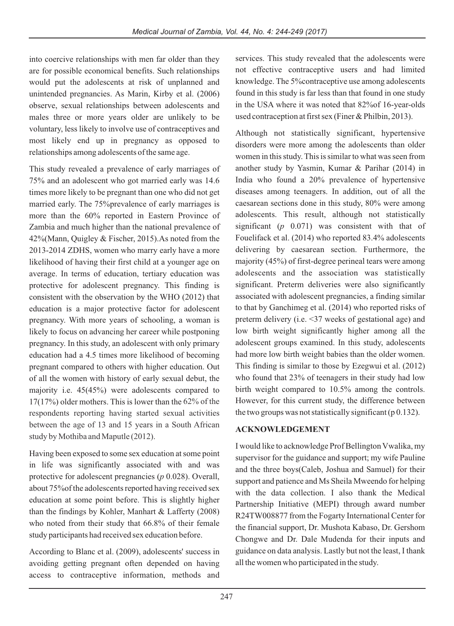into coercive relationships with men far older than they are for possible economical benefits. Such relationships would put the adolescents at risk of unplanned and unintended pregnancies. As Marin, Kirby et al. (2006) observe, sexual relationships between adolescents and males three or more years older are unlikely to be voluntary, less likely to involve use of contraceptives and most likely end up in pregnancy as opposed to relationships among adolescents of the same age.

This study revealed a prevalence of early marriages of 75% and an adolescent who got married early was 14.6 times more likely to be pregnant than one who did not get married early. The 75%prevalence of early marriages is more than the 60% reported in Eastern Province of Zambia and much higher than the national prevalence of 42%(Mann, Quigley & Fischer, 2015).As noted from the 2013-2014 ZDHS, women who marry early have a more likelihood of having their first child at a younger age on average. In terms of education, tertiary education was protective for adolescent pregnancy. This finding is consistent with the observation by the WHO (2012) that education is a major protective factor for adolescent pregnancy. With more years of schooling, a woman is likely to focus on advancing her career while postponing pregnancy. In this study, an adolescent with only primary education had a 4.5 times more likelihood of becoming pregnant compared to others with higher education. Out of all the women with history of early sexual debut, the majority i.e. 45(45%) were adolescents compared to 17(17%) older mothers. This is lower than the 62% of the respondents reporting having started sexual activities between the age of 13 and 15 years in a South African study by Mothiba and Maputle (2012).

Having been exposed to some sex education at some point in life was significantly associated with and was protective for adolescent pregnancies (*p* 0.028). Overall, about 75%of the adolescents reported having received sex education at some point before. This is slightly higher than the findings by Kohler, Manhart & Lafferty (2008) who noted from their study that 66.8% of their female study participants had received sex education before.

According to Blanc et al. (2009), adolescents' success in avoiding getting pregnant often depended on having access to contraceptive information, methods and

services. This study revealed that the adolescents were not effective contraceptive users and had limited knowledge. The 5%contraceptive use among adolescents found in this study is far less than that found in one study in the USA where it was noted that 82%of 16-year-olds used contraception at first sex (Finer & Philbin, 2013).

Although not statistically significant, hypertensive disorders were more among the adolescents than older women in this study. This is similar to what was seen from another study by Yasmin, Kumar & Parihar (2014) in India who found a 20% prevalence of hypertensive diseases among teenagers. In addition, out of all the caesarean sections done in this study, 80% were among adolescents. This result, although not statistically significant (*p* 0.071) was consistent with that of Fouelifack et al. (2014) who reported 83.4% adolescents delivering by caesarean section. Furthermore, the majority (45%) of first-degree perineal tears were among adolescents and the association was statistically significant. Preterm deliveries were also significantly associated with adolescent pregnancies, a finding similar to that by Ganchimeg et al. (2014) who reported risks of preterm delivery (i.e. <37 weeks of gestational age) and low birth weight significantly higher among all the adolescent groups examined. In this study, adolescents had more low birth weight babies than the older women. This finding is similar to those by Ezegwui et al. (2012) who found that 23% of teenagers in their study had low birth weight compared to 10.5% among the controls. However, for this current study, the difference between the two groups was not statistically significant ( $p$  0.132).

## **ACKNOWLEDGEMENT**

I would like to acknowledge Prof Bellington Vwalika, my supervisor for the guidance and support; my wife Pauline and the three boys(Caleb, Joshua and Samuel) for their support and patience and Ms Sheila Mweendo for helping with the data collection. I also thank the Medical Partnership Initiative (MEPI) through award number R24TW008877 from the Fogarty International Center for the financial support, Dr. Mushota Kabaso, Dr. Gershom Chongwe and Dr. Dale Mudenda for their inputs and guidance on data analysis. Lastly but not the least, I thank all the women who participated in the study.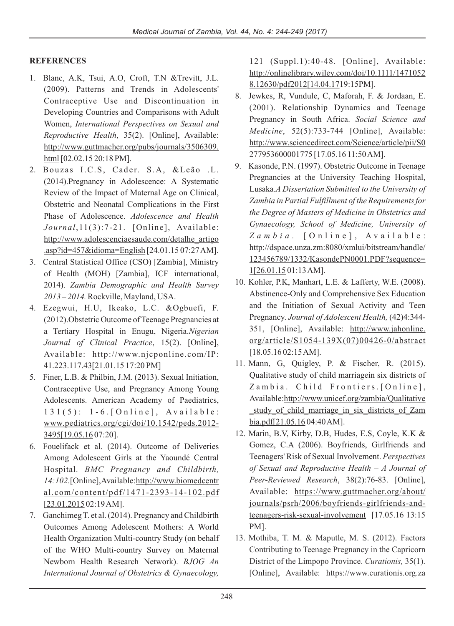## **REFERENCES**

- 1. Blanc, A.K, Tsui, A.O, Croft, T.N &Trevitt, J.L. (2009). Patterns and Trends in Adolescents' Contraceptive Use and Discontinuation in Developing Countries and Comparisons with Adult Women, *International Perspectives on Sexual and Reproductive Health*, 35(2). [Online], Available: http://www.guttmacher.org/pubs/journals/3506309. html [02.02.15 20:18 PM].
- 2. Bouzas I.C.S, Cader. S.A, &Leão .L. (2014).Pregnancy in Adolescence: A Systematic Review of the Impact of Maternal Age on Clinical, Obstetric and Neonatal Complications in the First Phase of Adolescence. *Adolescence and Health Journal*,11(3):7-21. [Online], Available: http://www.adolescenciaesaude.com/detalhe\_artigo .asp?id=457&idioma=English [24.01.15 07:27 AM].
- 3. Central Statistical Office (CSO) [Zambia], Ministry of Health (MOH) [Zambia], ICF international, 2014). *Zambia Demographic and Health Survey 2013 – 2014.* Rockville, Mayland, USA.
- 4. Ezegwui, H.U, Ikeako, L.C. &Ogbuefi, F. (2012).Obstetric Outcome of Teenage Pregnancies at a Tertiary Hospital in Enugu, Nigeria.*Nigerian Journal of Clinical Practice*, 15(2). [Online], Available: http://www.njcponline.com/IP: 41.223.117.43[21.01.15 17:20 PM]
- 5. Finer, L.B. & Philbin, J.M. (2013). Sexual Initiation, Contraceptive Use, and Pregnancy Among Young Adolescents. American Academy of Paediatrics,  $131(5)$ :  $1-6$ . [Online], Available: www.pediatrics.org/cgi/doi/10.1542/peds.2012- 3495[19.05.16 07:20].
- 6. Fouelifack et al. (2014). Outcome of Deliveries Among Adolescent Girls at the Yaoundé Central Hospital. *BMC Pregnancy and Childbirth,* 14:102.[Online], Available: http://www.biomedcentr al.com/content/pdf/1471-2393-14-102.pdf [23.01.2015 02:19 AM].
- 7. Ganchimeg T. et al. (2014). Pregnancy and Childbirth Outcomes Among Adolescent Mothers: A World Health Organization Multi-country Study (on behalf of the WHO Multi-country Survey on Maternal Newborn Health Research Network). *BJOG An International Journal of Obstetrics & Gynaecology,*

121 (Suppl.1):40-48. [Online], Available: http://onlinelibrary.wiley.com/doi/10.1111/1471052 8.12630/pdf2012[14.04.1719:15PM].

- 8. Jewkes, R, Vundule, C, Maforah, F. & Jordaan, E. (2001). Relationship Dynamics and Teenage Pregnancy in South Africa. *Social Science and Medicine*, 52(5):733-744 [Online], Available: http://www.sciencedirect.com/Science/article/pii/S0 277953600001775 [17.05.16 11:50 AM].
- 9. Kasonde, P.N. (1997). Obstetric Outcome in Teenage Pregnancies at the University Teaching Hospital, Lusaka.*A Dissertation Submitted to the University of Zambia in Partial Fulfillment of the Requirements for the Degree of Masters of Medicine in Obstetrics and Gynaecology, School of Medicine, University of Z a m b i a .* [ O n l i n e ] , A v a i l a b l e : http://dspace.unza.zm:8080/xmlui/bitstream/handle/ 123456789/1332/KasondePN0001.PDF?sequence= 1[26.01.15 01:13 AM].
- 10. Kohler, P.K, Manhart, L.E. & Lafferty, W.E. (2008). Abstinence-Only and Comprehensive Sex Education and the Initiation of Sexual Activity and Teen Pregnancy. *Journal of Adolescent Health,* (42)4:344- 351, [Online], Available: http://www.jahonline. org/article/S1054-139X(07)00426-0/abstract [18.05.16 02:15 AM].
- 11. Mann, G, Quigley, P. & Fischer, R. (2015). Qualitative study of child marriagein six districts of Zambia. Child Frontiers. [Online], Available:http://www.unicef.org/zambia/Qualitative study of child marriage in six districts of Zam bia.pdf[21.05.16 04:40 AM].
- 12. Marin, B.V, Kirby, D.B, Hudes, E.S, Coyle, K.K & Gomez, C.A (2006). Boyfriends, Girlfriends and Teenagers' Risk of Sexual Involvement. *Perspectives of Sexual and Reproductive Health – A Journal of Peer-Reviewed Research*, 38(2):76-83. [Online], Available: https://www.guttmacher.org/about/ journals/psrh/2006/boyfriends-girlfriends-andteenagers-risk-sexual-involvement [17.05.16 13:15 PM].
- [Online], Available: https://www.curationis.org.za 13. Mothiba, T. M. & Maputle, M. S. (2012). Factors Contributing to Teenage Pregnancy in the Capricorn District of the Limpopo Province. *Curationis,* 35(1).